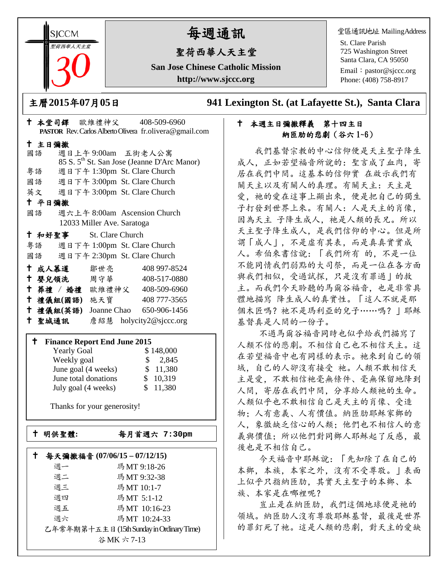**SICCM** 聖荷西華人天主堂 

# 每週通訊

## 聖荷西華人天主堂

**San Jose Chinese Catholic Mission http://www.sjccc.org**

堂區通訊地址 MailingAddress

St. Clare Parish 725 Washington Street Santa Clara, CA 95050

Email: [pastor@sjccc.org](mailto:pastor@sjccc.org) Phone: (408) 758-8917

主曆**2015**年**07**月**05**日 **941 Lexington St. (at Lafayette St.), Santa Clara** 

### 本週主日彌撒釋義 第十四主日 納匝肋的悲劇(谷六 1~6)

 我們基督宗教的中心信仰便是天主聖子降生 成人,正如若望福音所說的: 聖言成了血肉, 寄 居在我們中間。這基本的信仰實 在啟示我們有 關天主以及有關人的真理。有關天主:天主是 愛, 祂的愛在這事上顯出來, 便是把自己的獨生 子打發到世界上來。有關人:人是天主的肖像, 因為天主 子降生成人, 祂是人類的長兄。所以 天主聖子降生成人,是我們信仰的中心。但是所 謂「成人」,不是虛有其表,而是真真實實成 人。希伯來書信說:「我們所有 的,不是一位 不能同情我們弱點的大司祭,而是一位在各方面 與我們相似,受過試探,只是沒有罪過」的救 主。而我們今天聆聽的馬爾谷福音,也是非常具 體地描寫 降生成人的真實性。「這人不就是那 個木匠嗎?祂不是瑪利亞的兒子……嗎? | 耶穌 基督真是人間的一份子。

 不過馬爾谷福音同時也似乎給我們描寫了 人類不信的悲劇。不相信自己也不相信天主。這 在若望福音中也有同樣的表示。祂來到自己的領 域,自己的人卻沒有接受 祂。人類不敢相信天 主是愛,不敢相信祂毫無條件、毫無保留地降到 人間,寄居在我們中間,分享給人類祂的生命。 人類似乎也不敢相信自己是天主的肖像、受造 物;人有意義、人有價值。納匝肋耶穌家鄉的 人,象徵缺乏信心的人類;他們也不相信人的意 義與價值: 所以他們對同鄉人耶穌起了反感, 最 後也是不相信自己。

 今天福音中耶穌說:「先知除了在自己的 本鄉,本族,本家之外,沒有不受尊敬。」表面 上似乎只指納匝肋,其實天主聖子的本鄉、本 族、本家是在哪裡呢?

 豈止是在納匝肋,我們這個地球便是祂的 領域。納匝肋人沒有尊敬耶穌基督, 最後是世界 的罪釘死了祂。這是人類的悲劇,對天主的愛缺

|                                     |    |  |        |        |  |                            |  | <b>PASTOR</b> Rev. Carlos Alberto Olivera fr. olivera@gmail.com |  |
|-------------------------------------|----|--|--------|--------|--|----------------------------|--|-----------------------------------------------------------------|--|
|                                     |    |  | 十 主日彌撒 |        |  |                            |  |                                                                 |  |
|                                     | 國語 |  |        |        |  |                            |  | 週日上午9:00am 五街老人公寓                                               |  |
|                                     |    |  |        |        |  |                            |  | 85 S. 5 <sup>th</sup> St. San Jose (Jeanne D'Arc Manor)         |  |
|                                     |    |  |        |        |  |                            |  | 粤語 週日下午 1:30pm St. Clare Church                                 |  |
|                                     |    |  |        |        |  |                            |  | 國語 週日下午 3:00pm St. Clare Church                                 |  |
|                                     |    |  |        |        |  |                            |  | 英文 週日下午 3:00pm St. Clare Church                                 |  |
|                                     |    |  | 十 平日彌撒 |        |  |                            |  |                                                                 |  |
|                                     | 國語 |  |        |        |  |                            |  | 週六上午 8:00am Ascension Church                                    |  |
|                                     |    |  |        |        |  | 12033 Miller Ave. Saratoga |  |                                                                 |  |
|                                     |    |  |        |        |  | + 和好聖事 St. Clare Church    |  |                                                                 |  |
|                                     |    |  |        |        |  |                            |  | 粤語 週日下午 1:00pm St. Clare Church                                 |  |
|                                     |    |  |        |        |  |                            |  | 國語 週日下午 2:30pm St. Clare Church                                 |  |
|                                     |    |  |        |        |  |                            |  | † 成人慕道   鄒世亮    408 997-8524                                    |  |
|                                     |    |  |        |        |  |                            |  | † 嬰兒領洗 周守華 408-517-0880                                         |  |
|                                     |    |  |        |        |  |                            |  | † 葬禮 / 婚禮 歐維禮神父 408-509-6960                                    |  |
|                                     |    |  |        |        |  | 十禮儀組(國語) 施天寶               |  | 408 777-3565                                                    |  |
|                                     |    |  |        |        |  |                            |  | † 禮儀組(英語) Joanne Chao 650-906-1456                              |  |
|                                     |    |  |        | 十 聖城通訊 |  |                            |  | 詹紹慧 holycity2@sjccc.org                                         |  |
|                                     |    |  |        |        |  |                            |  |                                                                 |  |
| <b>Finance Report End June 2015</b> |    |  |        |        |  |                            |  |                                                                 |  |
|                                     |    |  |        |        |  |                            |  | $\sim$ 1 $\sim$ 1 $\sim$ 0.00                                   |  |

本堂司鐸 歐維禮神父 408-509-6960

| <b>Yearly Goal</b>   | \$148,000 |
|----------------------|-----------|
| Weekly goal          | \$2,845   |
| June goal (4 weeks)  | \$ 11,380 |
| June total donations | \$10,319  |
| July goal (4 weeks)  | \$11,380  |

Thanks for your generosity!

Ē

### 明供聖體**:** 每月首週六 **7:30pm**

|                                           | 每天彌撒福音 (07/06/15-07/12/15) |              |  |  |  |  |  |
|-------------------------------------------|----------------------------|--------------|--|--|--|--|--|
|                                           | 调一                         | 瑪MT 9:18-26  |  |  |  |  |  |
|                                           | 週二                         | 瑪MT 9:32-38  |  |  |  |  |  |
|                                           | 週三                         | 瑪MT 10:1-7   |  |  |  |  |  |
|                                           | 调四                         | 瑪MT 5:1-12   |  |  |  |  |  |
|                                           | 週五                         | 瑪MT 10:16-23 |  |  |  |  |  |
|                                           | 调六                         | 瑪MT 10:24-33 |  |  |  |  |  |
| 乙年常年期第十五主日 (15th Sunday in Ordinary Time) |                            |              |  |  |  |  |  |
|                                           |                            | 谷MK 六 7-13   |  |  |  |  |  |